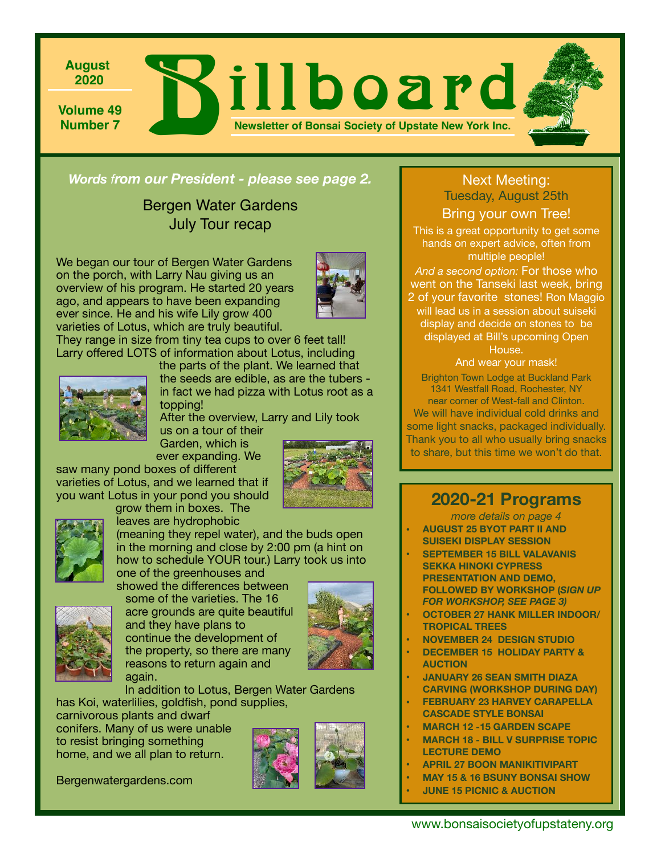

*Words from our President - please see page 2.*

Bergen Water Gardens July Tour recap

We began our tour of Bergen Water Gardens on the porch, with Larry Nau giving us an overview of his program. He started 20 years ago, and appears to have been expanding ever since. He and his wife Lily grow 400 varieties of Lotus, which are truly beautiful.



They range in size from tiny tea cups to over 6 feet tall! Larry offered LOTS of information about Lotus, including



the parts of the plant. We learned that the seeds are edible, as are the tubers in fact we had pizza with Lotus root as a topping!

After the overview, Larry and Lily took us on a tour of their

Garden, which is ever expanding. We

saw many pond boxes of different varieties of Lotus, and we learned that if you want Lotus in your pond you should grow them in boxes. The

leaves are hydrophobic





(meaning they repel water), and the buds open in the morning and close by 2:00 pm (a hint on how to schedule YOUR tour.) Larry took us into

one of the greenhouses and showed the differences between some of the varieties. The 16



acre grounds are quite beautiful and they have plans to continue the development of the property, so there are many reasons to return again and again.

In addition to Lotus, Bergen Water Gardens has Koi, waterlilies, goldfish, pond supplies,

carnivorous plants and dwarf conifers. Many of us were unable to resist bringing something home, and we all plan to return.

Bergenwatergardens.com



#### Next Meeting: Tuesday, August 25th

Bring your own Tree! This is a great opportunity to get some hands on expert advice, often from multiple people!

*And a second option:* For those who went on the Tanseki last week, bring 2 of your favorite stones! Ron Maggio will lead us in a session about suiseki display and decide on stones to be displayed at Bill's upcoming Open House.

And wear your mask! Brighton Town Lodge at Buckland Park 1341 Westfall Road, Rochester, NY near corner of West-fall and Clinton. We will have individual cold drinks and some light snacks, packaged individually. Thank you to all who usually bring snacks to share, but this time we won't do that.

## **2020-21 Programs**

*more details on page 4*  **• AUGUST 25 BYOT PART II AND** 

- **SUISEKI DISPLAY SESSION**
- **• SEPTEMBER 15 BILL VALAVANIS SEKKA HINOKI CYPRESS PRESENTATION AND DEMO, FOLLOWED BY WORKSHOP (***SIGN UP FOR WORKSHOP, SEE PAGE 3)*
- **• OCTOBER 27 HANK MILLER INDOOR/ TROPICAL TREES**
- **• NOVEMBER 24 DESIGN STUDIO**
- **• DECEMBER 15 HOLIDAY PARTY & AUCTION**
- **• JANUARY 26 SEAN SMITH DIAZA CARVING (WORKSHOP DURING DAY)**
- **• FEBRUARY 23 HARVEY CARAPELLA CASCADE STYLE BONSAI**
- **• MARCH 12 -15 GARDEN SCAPE**
- **• MARCH 18 BILL V SURPRISE TOPIC LECTURE DEMO**
- **• APRIL 27 BOON MANIKITIVIPART**
- **• MAY 15 & 16 BSUNY BONSAI SHOW** 
	- **• JUNE 15 PICNIC & AUCTION**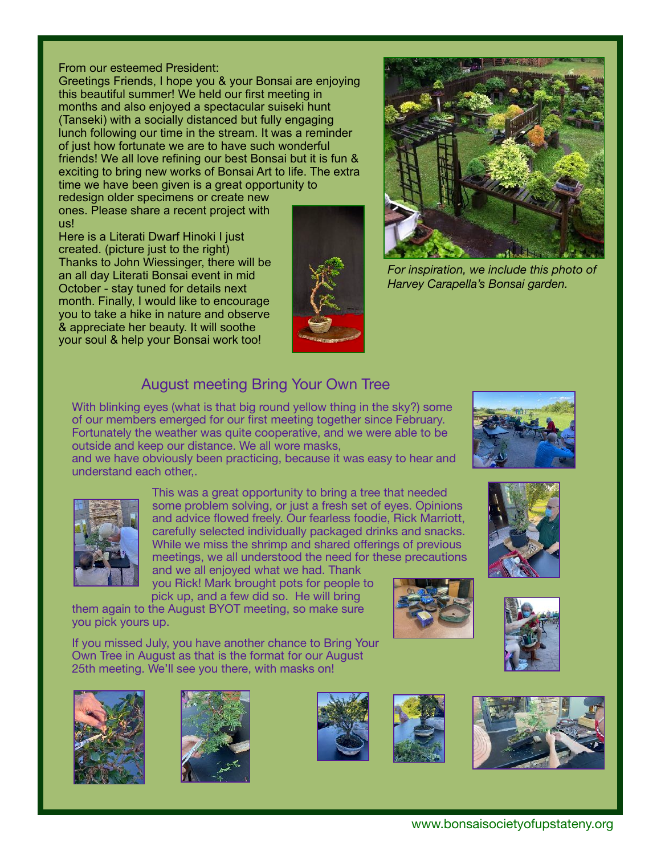#### From our esteemed President:

Greetings Friends, I hope you & your Bonsai are enjoying this beautiful summer! We held our first meeting in months and also enjoyed a spectacular suiseki hunt (Tanseki) with a socially distanced but fully engaging lunch following our time in the stream. It was a reminder of just how fortunate we are to have such wonderful friends! We all love refining our best Bonsai but it is fun & exciting to bring new works of Bonsai Art to life. The extra time we have been given is a great opportunity to

redesign older specimens or create new ones. Please share a recent project with us!

Here is a Literati Dwarf Hinoki I just created. (picture just to the right) Thanks to John Wiessinger, there will be an all day Literati Bonsai event in mid October - stay tuned for details next month. Finally, I would like to encourage you to take a hike in nature and observe & appreciate her beauty. It will soothe your soul & help your Bonsai work too!





*For inspiration, we include this photo of Harvey Carapella's Bonsai garden.* 

## August meeting Bring Your Own Tree

**Example 25 outside and keep our distance. We all wore masks,** With blinking eyes (what is that big round yellow thing in the sky?) some of our members emerged for our first meeting together since February. Fortunately the weather was quite cooperative, and we were able to be

and we have obviously been practicing, because it was easy to hear and understand each other,.



This was a great opportunity to bring a tree that needed some problem solving, or just a fresh set of eyes. Opinions and advice flowed freely. Our fearless foodie, Rick Marriott, carefully selected individually packaged drinks and snacks. While we miss the shrimp and shared offerings of previous meetings, we all understood the need for these precautions

and we all enjoyed what we had. Thank you Rick! Mark brought pots for people to pick up, and a few did so. He will bring

them again to the August BYOT meeting, so make sure you pick yours up.

If you missed July, you have another chance to Bring Your Own Tree in August as that is the format for our August 25th meeting. We'll see you there, with masks on!















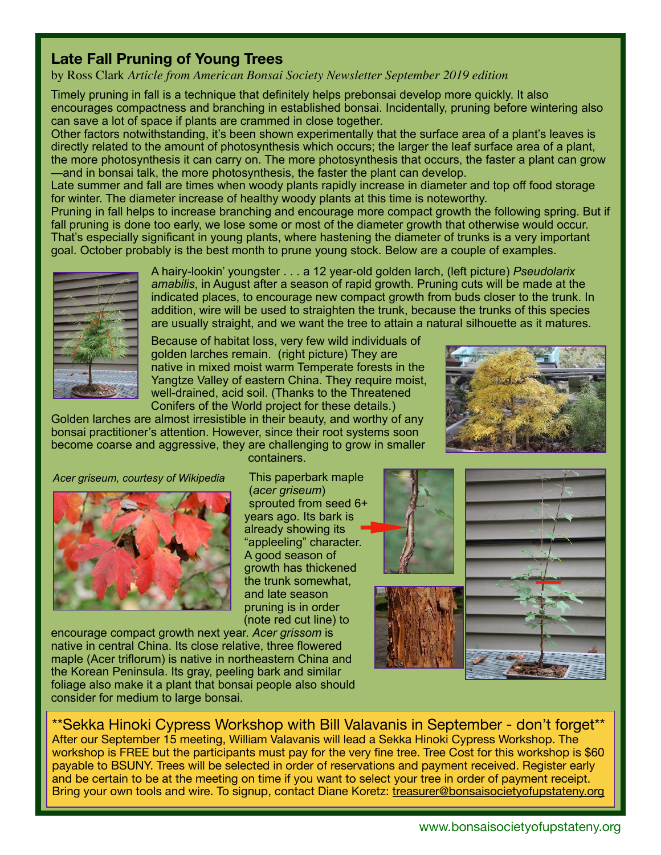#### **Late Fall Pruning of Young Trees**

by Ross Clark *Article from American Bonsai Society Newsletter September 2019 edition*

Timely pruning in fall is a technique that definitely helps prebonsai develop more quickly. It also encourages compactness and branching in established bonsai. Incidentally, pruning before wintering also can save a lot of space if plants are crammed in close together.

Other factors notwithstanding, it's been shown experimentally that the surface area of a plant's leaves is directly related to the amount of photosynthesis which occurs; the larger the leaf surface area of a plant, the more photosynthesis it can carry on. The more photosynthesis that occurs, the faster a plant can grow —and in bonsai talk, the more photosynthesis, the faster the plant can develop.

Late summer and fall are times when woody plants rapidly increase in diameter and top off food storage for winter. The diameter increase of healthy woody plants at this time is noteworthy.

Pruning in fall helps to increase branching and encourage more compact growth the following spring. But if fall pruning is done too early, we lose some or most of the diameter growth that otherwise would occur. That's especially significant in young plants, where hastening the diameter of trunks is a very important goal. October probably is the best month to prune young stock. Below are a couple of examples.



A hairy-lookin' youngster . . . a 12 year-old golden larch, (left picture) *Pseudolarix amabilis*, in August after a season of rapid growth. Pruning cuts will be made at the indicated places, to encourage new compact growth from buds closer to the trunk. In addition, wire will be used to straighten the trunk, because the trunks of this species are usually straight, and we want the tree to attain a natural silhouette as it matures.

Because of habitat loss, very few wild individuals of golden larches remain. (right picture) They are native in mixed moist warm Temperate forests in the Yangtze Valley of eastern China. They require moist, well-drained, acid soil. (Thanks to the Threatened Conifers of the World project for these details.)

Golden larches are almost irresistible in their beauty, and worthy of any bonsai practitioner's attention. However, since their root systems soon become coarse and aggressive, they are challenging to grow in smaller



*Acer griseum, courtesy of Wikipedia*



containers.

This paperbark maple (*acer griseum*) sprouted from seed 6+ years ago. Its bark is already showing its "appleeling" character. A good season of growth has thickened the trunk somewhat, and late season pruning is in order (note red cut line) to

encourage compact growth next year. *Acer grissom* is native in central China. Its close relative, three flowered maple (Acer triflorum) is native in northeastern China and the Korean Peninsula. Its gray, peeling bark and similar foliage also make it a plant that bonsai people also should consider for medium to large bonsai.